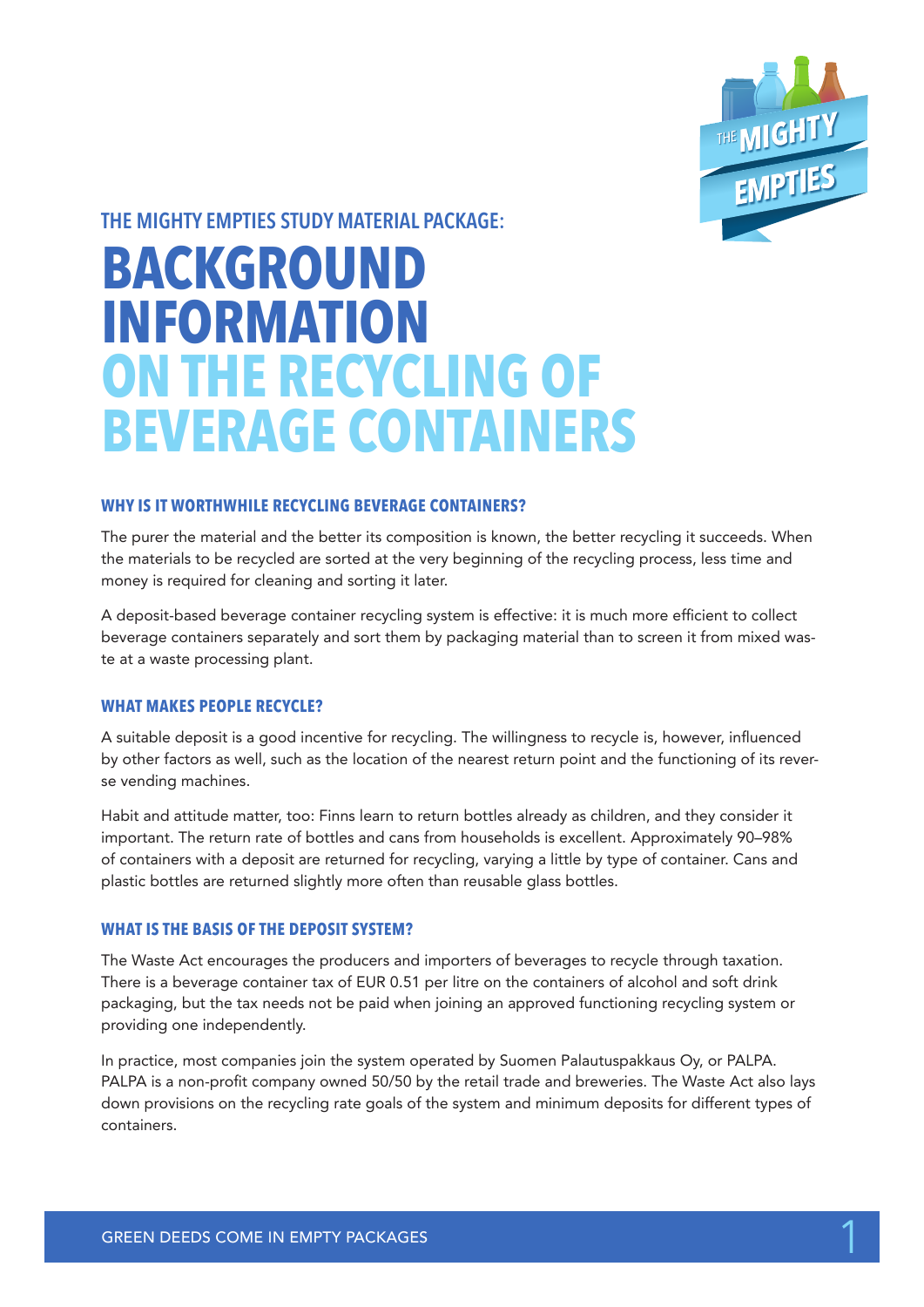

**THE MIGHTY EMPTIES STUDY MATERIAL PACKAGE:**

# **BACKGROUND INFORMATION ON THE RECYCLING OF BEVERAGE CONTAINERS**

# **WHY IS IT WORTHWHILE RECYCLING BEVERAGE CONTAINERS?**

The purer the material and the better its composition is known, the better recycling it succeeds. When the materials to be recycled are sorted at the very beginning of the recycling process, less time and money is required for cleaning and sorting it later.

A deposit-based beverage container recycling system is effective: it is much more efficient to collect beverage containers separately and sort them by packaging material than to screen it from mixed waste at a waste processing plant.

# **WHAT MAKES PEOPLE RECYCLE?**

A suitable deposit is a good incentive for recycling. The willingness to recycle is, however, influenced by other factors as well, such as the location of the nearest return point and the functioning of its reverse vending machines.

Habit and attitude matter, too: Finns learn to return bottles already as children, and they consider it important. The return rate of bottles and cans from households is excellent. Approximately 90–98% of containers with a deposit are returned for recycling, varying a little by type of container. Cans and plastic bottles are returned slightly more often than reusable glass bottles.

# **WHAT IS THE BASIS OF THE DEPOSIT SYSTEM?**

The Waste Act encourages the producers and importers of beverages to recycle through taxation. There is a beverage container tax of EUR 0.51 per litre on the containers of alcohol and soft drink packaging, but the tax needs not be paid when joining an approved functioning recycling system or providing one independently.

In practice, most companies join the system operated by Suomen Palautuspakkaus Oy, or PALPA. PALPA is a non-profit company owned 50/50 by the retail trade and breweries. The Waste Act also lays down provisions on the recycling rate goals of the system and minimum deposits for different types of containers.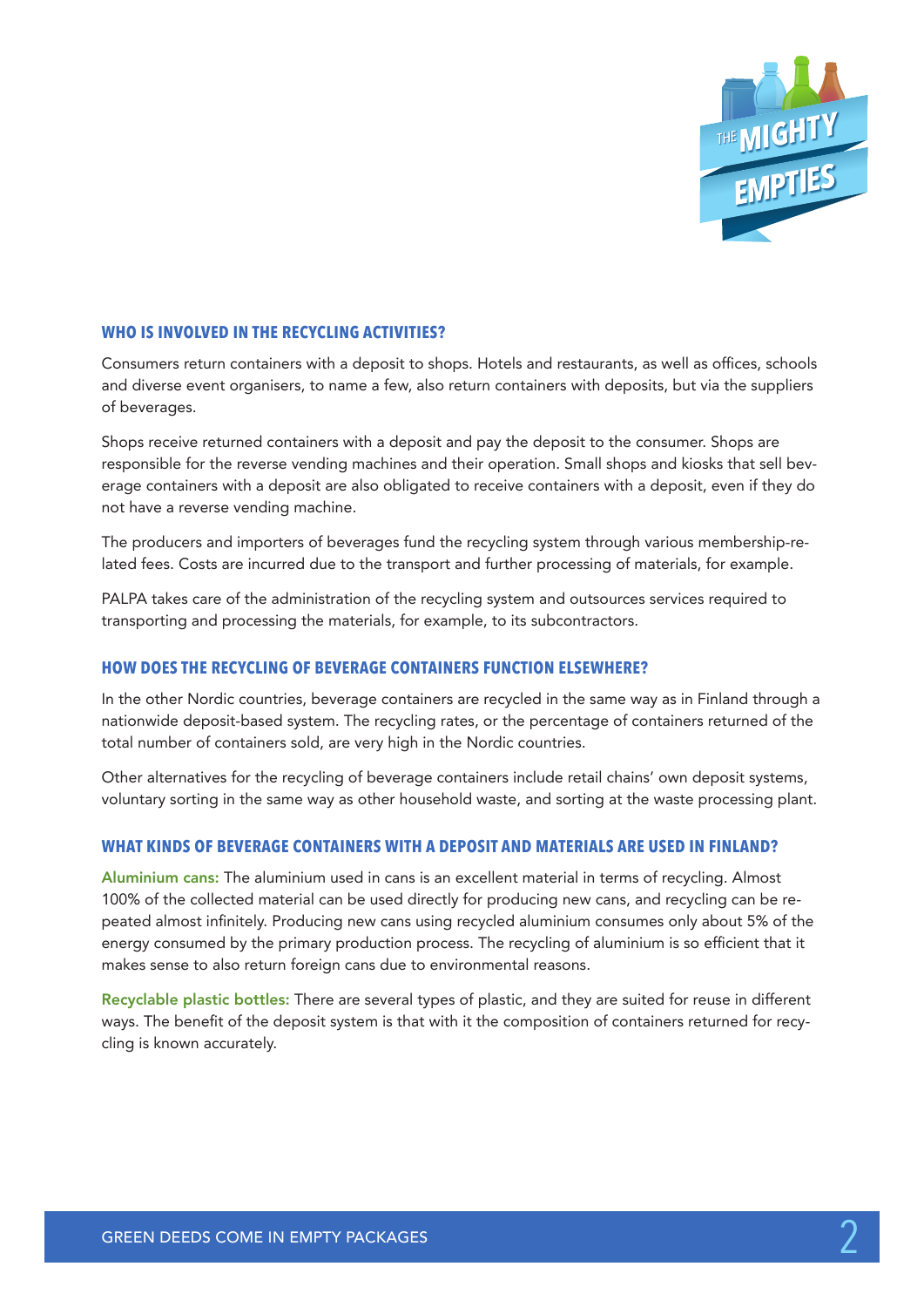

## **WHO IS INVOLVED IN THE RECYCLING ACTIVITIES?**

Consumers return containers with a deposit to shops. Hotels and restaurants, as well as offices, schools and diverse event organisers, to name a few, also return containers with deposits, but via the suppliers of beverages.

Shops receive returned containers with a deposit and pay the deposit to the consumer. Shops are responsible for the reverse vending machines and their operation. Small shops and kiosks that sell beverage containers with a deposit are also obligated to receive containers with a deposit, even if they do not have a reverse vending machine.

The producers and importers of beverages fund the recycling system through various membership-related fees. Costs are incurred due to the transport and further processing of materials, for example.

PALPA takes care of the administration of the recycling system and outsources services required to transporting and processing the materials, for example, to its subcontractors.

## **HOW DOES THE RECYCLING OF BEVERAGE CONTAINERS FUNCTION ELSEWHERE?**

In the other Nordic countries, beverage containers are recycled in the same way as in Finland through a nationwide deposit-based system. The recycling rates, or the percentage of containers returned of the total number of containers sold, are very high in the Nordic countries.

Other alternatives for the recycling of beverage containers include retail chains' own deposit systems, voluntary sorting in the same way as other household waste, and sorting at the waste processing plant.

#### **WHAT KINDS OF BEVERAGE CONTAINERS WITH A DEPOSIT AND MATERIALS ARE USED IN FINLAND?**

Aluminium cans: The aluminium used in cans is an excellent material in terms of recycling. Almost 100% of the collected material can be used directly for producing new cans, and recycling can be repeated almost infinitely. Producing new cans using recycled aluminium consumes only about 5% of the energy consumed by the primary production process. The recycling of aluminium is so efficient that it makes sense to also return foreign cans due to environmental reasons.

Recyclable plastic bottles: There are several types of plastic, and they are suited for reuse in different ways. The benefit of the deposit system is that with it the composition of containers returned for recycling is known accurately.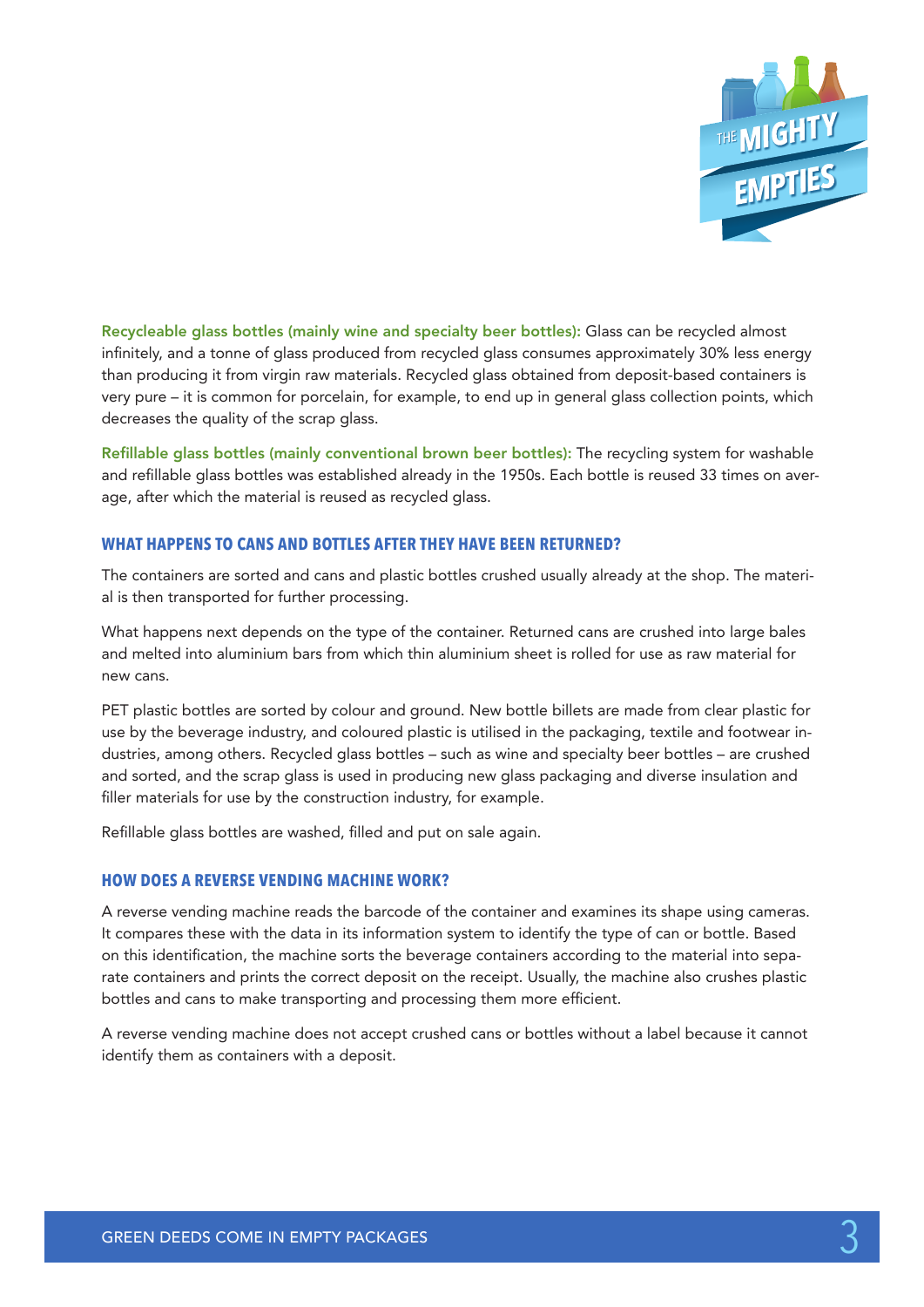

Recycleable glass bottles (mainly wine and specialty beer bottles): Glass can be recycled almost infinitely, and a tonne of glass produced from recycled glass consumes approximately 30% less energy than producing it from virgin raw materials. Recycled glass obtained from deposit-based containers is very pure – it is common for porcelain, for example, to end up in general glass collection points, which decreases the quality of the scrap glass.

Refillable glass bottles (mainly conventional brown beer bottles): The recycling system for washable and refillable glass bottles was established already in the 1950s. Each bottle is reused 33 times on average, after which the material is reused as recycled glass.

## **WHAT HAPPENS TO CANS AND BOTTLES AFTER THEY HAVE BEEN RETURNED?**

The containers are sorted and cans and plastic bottles crushed usually already at the shop. The material is then transported for further processing.

What happens next depends on the type of the container. Returned cans are crushed into large bales and melted into aluminium bars from which thin aluminium sheet is rolled for use as raw material for new cans.

PET plastic bottles are sorted by colour and ground. New bottle billets are made from clear plastic for use by the beverage industry, and coloured plastic is utilised in the packaging, textile and footwear industries, among others. Recycled glass bottles – such as wine and specialty beer bottles – are crushed and sorted, and the scrap glass is used in producing new glass packaging and diverse insulation and filler materials for use by the construction industry, for example.

Refillable glass bottles are washed, filled and put on sale again.

#### **HOW DOES A REVERSE VENDING MACHINE WORK?**

A reverse vending machine reads the barcode of the container and examines its shape using cameras. It compares these with the data in its information system to identify the type of can or bottle. Based on this identification, the machine sorts the beverage containers according to the material into separate containers and prints the correct deposit on the receipt. Usually, the machine also crushes plastic bottles and cans to make transporting and processing them more efficient.

A reverse vending machine does not accept crushed cans or bottles without a label because it cannot identify them as containers with a deposit.